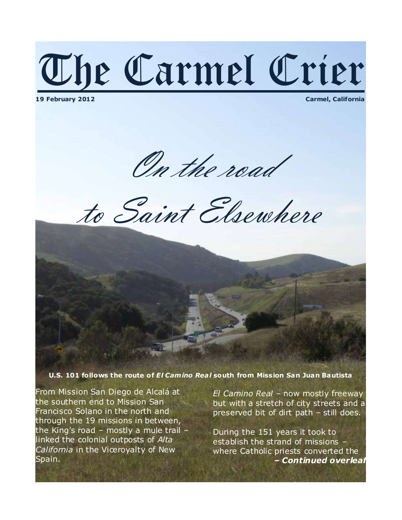# The Carmel Crier

**19 February 2012 Carmel, California**

On the road

to Saint Elsewhere

**U.S. 101 follows the route of** *El Cam ino Rea l* **south from Miss ion San Juan Bautista**

From Mission San Diego de Alcalá at the southern end to Mission San Francisco Solano in the north and through the 19 missions in between, the King's road – mostly a mule trail – linked the colonial outposts of *Alta California* in the Viceroyalty of New Spain.

*El Camino Real* – now mostly freeway but with a stretch of city streets and a preserved bit of dirt path – still does.

During the 151 years it took to establish the strand of missions – where Catholic priests converted the *– Continued overleaf*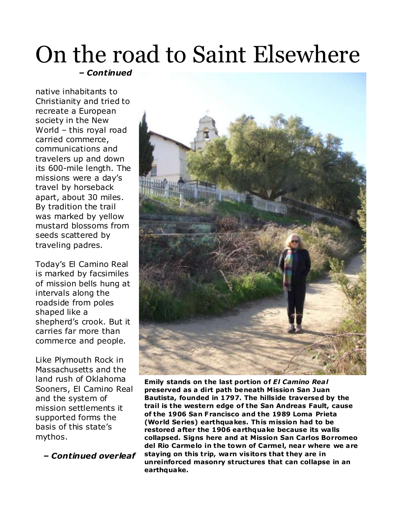#### On the road to Saint Elsewhere *– Continued*

native inhabitants to Christianity and tried to recreate a European society in the New World – this royal road carried commerce, communications and travelers up and down its 600-mile length. The missions were a day's travel by horseback apart, about 30 miles. By tradition the trail was marked by yellow mustard blossoms from seeds scattered by traveling padres.

Today's El Camino Real is marked by facsimiles of mission bells hung at intervals along the roadside from poles shaped like a shepherd's crook. But it carries far more than commerce and people.

Like Plymouth Rock in Massachusetts and the land rush of Oklahoma Sooners, El Camino Real and the system of mission settlements it supported forms the basis of this state's mythos.

 *– Continued overleaf*



**Emily stands on the last portion of** *El Camino Rea l*  **preserved as a dirt path beneath Mission San Juan Bautista, founded in 1797. The hills ide traversed by the trail is the western edge of the San Andreas Fault, cause of the 1906 San Francisco and the 1989 Loma Prieta (World Series) earthquakes. This m ission had to be restored after the 1906 earthquake because its wa lls collapsed. Signs here and at Mission San Carlos Borromeo del Rio Carme lo in the town of Carme l, near where we are staying on this trip, warn vis itors that they are in unreinforced masonry structures that can collapse in an earthquake.**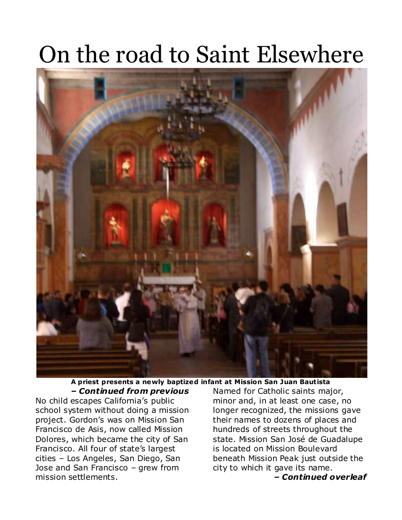#### On the road to Saint Elsewhere



**A priest presents a newly baptized infant at Mission San Juan Bautista** *– Continued from previous*

No child escapes California's public school system without doing a mission project. Gordon's was on Mission San Francisco de Asis, now called Mission Dolores, which became the city of San Francisco. All four of state's largest cities – Los Angeles, San Diego, San Jose and San Francisco – grew from mission settlements.

Named for Catholic saints major, minor and, in at least one case, no longer recognized, the missions gave their names to dozens of places and hundreds of streets throughout the state. Mission San José de Guadalupe is located on Mission Boulevard beneath Mission Peak just outside the city to which it gave its name.

*– Continued overleaf*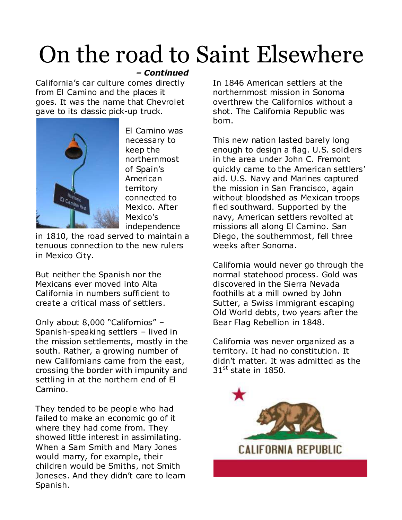### On the road to Saint Elsewhere

#### *– Continued*

California's car culture comes directly from El Camino and the places it goes. It was the name that Chevrolet gave to its classic pick-up truck.



El Camino was necessary to keep the northernmost of Spain's American territory connected to Mexico. After Mexico's independence

in 1810, the road served to maintain a tenuous connection to the new rulers in Mexico City.

But neither the Spanish nor the Mexicans ever moved into Alta California in numbers sufficient to create a critical mass of settlers.

Only about 8,000 "Californios" – Spanish-speaking settlers – lived in the mission settlements, mostly in the south. Rather, a growing number of new Californians came from the east, crossing the border with impunity and settling in at the northern end of El Camino.

They tended to be people who had failed to make an economic go of it where they had come from. They showed little interest in assimilating. When a Sam Smith and Mary Jones would marry, for example, their children would be Smiths, not Smith Joneses. And they didn't care to learn Spanish.

In 1846 American settlers at the northernmost mission in Sonoma overthrew the Californios without a shot. The California Republic was born.

This new nation lasted barely long enough to design a flag. U.S. soldiers in the area under John C. Fremont quickly came to the American settlers' aid. U.S. Navy and Marines captured the mission in San Francisco, again without bloodshed as Mexican troops fled southward. Supported by the navy, American settlers revolted at missions all along El Camino. San Diego, the southernmost, fell three weeks after Sonoma.

California would never go through the normal statehood process. Gold was discovered in the Sierra Nevada foothills at a mill owned by John Sutter, a Swiss immigrant escaping Old World debts, two years after the Bear Flag Rebellion in 1848.

California was never organized as a territory. It had no constitution. It didn't matter. It was admitted as the  $31<sup>st</sup>$  state in 1850.

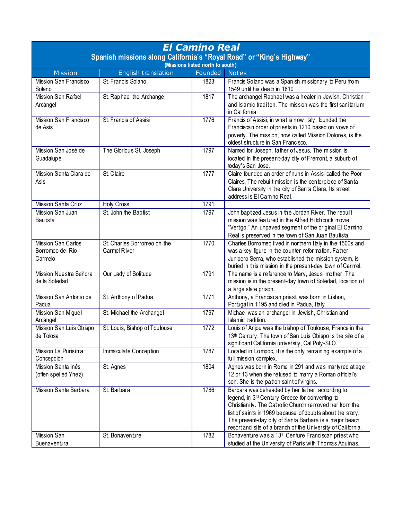| Spanish missions along California's "Royal Road" or "King's Highway"<br>(Missions listed north to south)<br>English translation<br>Founded<br><b>Mission</b><br><b>Notes</b><br>Mission San Francisco<br>St. Francis Solano<br>Francis Solano was a Spanish missionary to Peru from<br>1823<br>Solano<br>1549 until his death in 1610<br>The archangel Raphael was a healer in Jewish, Christian<br>Mission San Rafael<br>1817<br>St. Raphael the Archangel<br>and Islamic tradition. The mission was the first sanitarium<br>Arcángel<br>in California<br>Francis of Assisi, in what is now Italy, founded the<br>Mission San Francisco<br>St. Francis of Assisi<br>1776<br>Franciscan order of priests in 1210 based on vows of<br>de Asis<br>poverty. The mission, now called Mission Dolores, is the<br>oldest structure in San Francisco.<br>1797<br>Named for Joseph, father of Jesus. The mission is<br>Mission San José de<br>The Glorious St. Joseph<br>located in the present-day city of Fremont, a suburb of<br>Guadalupe<br>today's San Jose.<br>St. Claire<br>1777<br>Claire founded an order of nuns in Assisi called the Poor<br>Mission Santa Clara de<br>Claires. The rebuilt mission is the centerpiece of Santa<br>Asis<br>Clara University in the city of Santa Clara. Its street<br>address is El Camino Real.<br>Mission Santa Cruz<br><b>Holy Cross</b><br>1791<br>John baptized Jesus in the Jordan River. The rebuilt<br>1797<br>Mission San Juan<br>St. John the Baptist<br>mission was featured in the Alfred Hitchcock movie<br><b>Bautista</b><br>"Vertigo." An unpaved segment of the original El Camino | <b>El Camino Real</b> |  |  |                                                     |  |  |  |
|-----------------------------------------------------------------------------------------------------------------------------------------------------------------------------------------------------------------------------------------------------------------------------------------------------------------------------------------------------------------------------------------------------------------------------------------------------------------------------------------------------------------------------------------------------------------------------------------------------------------------------------------------------------------------------------------------------------------------------------------------------------------------------------------------------------------------------------------------------------------------------------------------------------------------------------------------------------------------------------------------------------------------------------------------------------------------------------------------------------------------------------------------------------------------------------------------------------------------------------------------------------------------------------------------------------------------------------------------------------------------------------------------------------------------------------------------------------------------------------------------------------------------------------------------------------------------------------------------------------------------------------------|-----------------------|--|--|-----------------------------------------------------|--|--|--|
|                                                                                                                                                                                                                                                                                                                                                                                                                                                                                                                                                                                                                                                                                                                                                                                                                                                                                                                                                                                                                                                                                                                                                                                                                                                                                                                                                                                                                                                                                                                                                                                                                                         |                       |  |  |                                                     |  |  |  |
|                                                                                                                                                                                                                                                                                                                                                                                                                                                                                                                                                                                                                                                                                                                                                                                                                                                                                                                                                                                                                                                                                                                                                                                                                                                                                                                                                                                                                                                                                                                                                                                                                                         |                       |  |  |                                                     |  |  |  |
|                                                                                                                                                                                                                                                                                                                                                                                                                                                                                                                                                                                                                                                                                                                                                                                                                                                                                                                                                                                                                                                                                                                                                                                                                                                                                                                                                                                                                                                                                                                                                                                                                                         |                       |  |  |                                                     |  |  |  |
|                                                                                                                                                                                                                                                                                                                                                                                                                                                                                                                                                                                                                                                                                                                                                                                                                                                                                                                                                                                                                                                                                                                                                                                                                                                                                                                                                                                                                                                                                                                                                                                                                                         |                       |  |  |                                                     |  |  |  |
|                                                                                                                                                                                                                                                                                                                                                                                                                                                                                                                                                                                                                                                                                                                                                                                                                                                                                                                                                                                                                                                                                                                                                                                                                                                                                                                                                                                                                                                                                                                                                                                                                                         |                       |  |  |                                                     |  |  |  |
|                                                                                                                                                                                                                                                                                                                                                                                                                                                                                                                                                                                                                                                                                                                                                                                                                                                                                                                                                                                                                                                                                                                                                                                                                                                                                                                                                                                                                                                                                                                                                                                                                                         |                       |  |  |                                                     |  |  |  |
|                                                                                                                                                                                                                                                                                                                                                                                                                                                                                                                                                                                                                                                                                                                                                                                                                                                                                                                                                                                                                                                                                                                                                                                                                                                                                                                                                                                                                                                                                                                                                                                                                                         |                       |  |  |                                                     |  |  |  |
|                                                                                                                                                                                                                                                                                                                                                                                                                                                                                                                                                                                                                                                                                                                                                                                                                                                                                                                                                                                                                                                                                                                                                                                                                                                                                                                                                                                                                                                                                                                                                                                                                                         |                       |  |  |                                                     |  |  |  |
|                                                                                                                                                                                                                                                                                                                                                                                                                                                                                                                                                                                                                                                                                                                                                                                                                                                                                                                                                                                                                                                                                                                                                                                                                                                                                                                                                                                                                                                                                                                                                                                                                                         |                       |  |  |                                                     |  |  |  |
|                                                                                                                                                                                                                                                                                                                                                                                                                                                                                                                                                                                                                                                                                                                                                                                                                                                                                                                                                                                                                                                                                                                                                                                                                                                                                                                                                                                                                                                                                                                                                                                                                                         |                       |  |  |                                                     |  |  |  |
|                                                                                                                                                                                                                                                                                                                                                                                                                                                                                                                                                                                                                                                                                                                                                                                                                                                                                                                                                                                                                                                                                                                                                                                                                                                                                                                                                                                                                                                                                                                                                                                                                                         |                       |  |  |                                                     |  |  |  |
|                                                                                                                                                                                                                                                                                                                                                                                                                                                                                                                                                                                                                                                                                                                                                                                                                                                                                                                                                                                                                                                                                                                                                                                                                                                                                                                                                                                                                                                                                                                                                                                                                                         |                       |  |  |                                                     |  |  |  |
|                                                                                                                                                                                                                                                                                                                                                                                                                                                                                                                                                                                                                                                                                                                                                                                                                                                                                                                                                                                                                                                                                                                                                                                                                                                                                                                                                                                                                                                                                                                                                                                                                                         |                       |  |  |                                                     |  |  |  |
|                                                                                                                                                                                                                                                                                                                                                                                                                                                                                                                                                                                                                                                                                                                                                                                                                                                                                                                                                                                                                                                                                                                                                                                                                                                                                                                                                                                                                                                                                                                                                                                                                                         |                       |  |  |                                                     |  |  |  |
|                                                                                                                                                                                                                                                                                                                                                                                                                                                                                                                                                                                                                                                                                                                                                                                                                                                                                                                                                                                                                                                                                                                                                                                                                                                                                                                                                                                                                                                                                                                                                                                                                                         |                       |  |  |                                                     |  |  |  |
|                                                                                                                                                                                                                                                                                                                                                                                                                                                                                                                                                                                                                                                                                                                                                                                                                                                                                                                                                                                                                                                                                                                                                                                                                                                                                                                                                                                                                                                                                                                                                                                                                                         |                       |  |  |                                                     |  |  |  |
|                                                                                                                                                                                                                                                                                                                                                                                                                                                                                                                                                                                                                                                                                                                                                                                                                                                                                                                                                                                                                                                                                                                                                                                                                                                                                                                                                                                                                                                                                                                                                                                                                                         |                       |  |  |                                                     |  |  |  |
|                                                                                                                                                                                                                                                                                                                                                                                                                                                                                                                                                                                                                                                                                                                                                                                                                                                                                                                                                                                                                                                                                                                                                                                                                                                                                                                                                                                                                                                                                                                                                                                                                                         |                       |  |  |                                                     |  |  |  |
|                                                                                                                                                                                                                                                                                                                                                                                                                                                                                                                                                                                                                                                                                                                                                                                                                                                                                                                                                                                                                                                                                                                                                                                                                                                                                                                                                                                                                                                                                                                                                                                                                                         |                       |  |  | Real is preserved in the town of San Juan Bautista. |  |  |  |
| 1770<br><b>Mission San Carlos</b><br>St. Charles Borromeo on the<br>Charles Borromeo lived in northern Italy in the 1500s and<br>was a key figure in the counter-reformation. Father<br>Borromeo del Rio<br>Carmel River                                                                                                                                                                                                                                                                                                                                                                                                                                                                                                                                                                                                                                                                                                                                                                                                                                                                                                                                                                                                                                                                                                                                                                                                                                                                                                                                                                                                                |                       |  |  |                                                     |  |  |  |
| Junipero Serra, who established the mission system, is<br>Carmelo                                                                                                                                                                                                                                                                                                                                                                                                                                                                                                                                                                                                                                                                                                                                                                                                                                                                                                                                                                                                                                                                                                                                                                                                                                                                                                                                                                                                                                                                                                                                                                       |                       |  |  |                                                     |  |  |  |
| buried in this mission in the present-day town of Carmel.                                                                                                                                                                                                                                                                                                                                                                                                                                                                                                                                                                                                                                                                                                                                                                                                                                                                                                                                                                                                                                                                                                                                                                                                                                                                                                                                                                                                                                                                                                                                                                               |                       |  |  |                                                     |  |  |  |
| 1791<br>Mission Nuestra Señora<br>Our Lady of Solitude<br>The name is a reference to Mary, Jesus' mother. The                                                                                                                                                                                                                                                                                                                                                                                                                                                                                                                                                                                                                                                                                                                                                                                                                                                                                                                                                                                                                                                                                                                                                                                                                                                                                                                                                                                                                                                                                                                           |                       |  |  |                                                     |  |  |  |
| de la Soledad<br>mission is in the present-day town of Soledad, location of                                                                                                                                                                                                                                                                                                                                                                                                                                                                                                                                                                                                                                                                                                                                                                                                                                                                                                                                                                                                                                                                                                                                                                                                                                                                                                                                                                                                                                                                                                                                                             |                       |  |  |                                                     |  |  |  |
| a large state prison.                                                                                                                                                                                                                                                                                                                                                                                                                                                                                                                                                                                                                                                                                                                                                                                                                                                                                                                                                                                                                                                                                                                                                                                                                                                                                                                                                                                                                                                                                                                                                                                                                   |                       |  |  |                                                     |  |  |  |
| 1771<br>Mission San Antonio de<br>St. Anthony of Padua<br>Anthony, a Franciscan priest, was born in Lisbon,                                                                                                                                                                                                                                                                                                                                                                                                                                                                                                                                                                                                                                                                                                                                                                                                                                                                                                                                                                                                                                                                                                                                                                                                                                                                                                                                                                                                                                                                                                                             |                       |  |  |                                                     |  |  |  |
| Portugal in 1195 and died in Padua, Italy.<br>Padua                                                                                                                                                                                                                                                                                                                                                                                                                                                                                                                                                                                                                                                                                                                                                                                                                                                                                                                                                                                                                                                                                                                                                                                                                                                                                                                                                                                                                                                                                                                                                                                     |                       |  |  |                                                     |  |  |  |
| St. Michael the Archangel<br>1797<br>Michael was an archangel in Jewish, Christian and<br>Mission San Miguel<br>Islamic tradition.                                                                                                                                                                                                                                                                                                                                                                                                                                                                                                                                                                                                                                                                                                                                                                                                                                                                                                                                                                                                                                                                                                                                                                                                                                                                                                                                                                                                                                                                                                      |                       |  |  |                                                     |  |  |  |
| Arcángel<br>1772<br>Mission San Luis Obispo<br>St. Louis, Bishop of Toulouse<br>Louis of Anjou was the bishop of Toulouse, France in the                                                                                                                                                                                                                                                                                                                                                                                                                                                                                                                                                                                                                                                                                                                                                                                                                                                                                                                                                                                                                                                                                                                                                                                                                                                                                                                                                                                                                                                                                                |                       |  |  |                                                     |  |  |  |
| de Tolosa<br>13 <sup>th</sup> Century. The town of San Luis Obispo is the site of a                                                                                                                                                                                                                                                                                                                                                                                                                                                                                                                                                                                                                                                                                                                                                                                                                                                                                                                                                                                                                                                                                                                                                                                                                                                                                                                                                                                                                                                                                                                                                     |                       |  |  |                                                     |  |  |  |
| significant California university, Cal Poly-SLO.                                                                                                                                                                                                                                                                                                                                                                                                                                                                                                                                                                                                                                                                                                                                                                                                                                                                                                                                                                                                                                                                                                                                                                                                                                                                                                                                                                                                                                                                                                                                                                                        |                       |  |  |                                                     |  |  |  |
| 1787<br>Mission La Purisima<br>Immaculate Conception<br>Located in Lompoc, it is the only remaining example of a                                                                                                                                                                                                                                                                                                                                                                                                                                                                                                                                                                                                                                                                                                                                                                                                                                                                                                                                                                                                                                                                                                                                                                                                                                                                                                                                                                                                                                                                                                                        |                       |  |  |                                                     |  |  |  |
| full mission complex.<br>Concepción                                                                                                                                                                                                                                                                                                                                                                                                                                                                                                                                                                                                                                                                                                                                                                                                                                                                                                                                                                                                                                                                                                                                                                                                                                                                                                                                                                                                                                                                                                                                                                                                     |                       |  |  |                                                     |  |  |  |
| Agnes was born in Rome in 291 and was martyred at age<br>Mission Santa Inés<br>1804<br>St. Agnes                                                                                                                                                                                                                                                                                                                                                                                                                                                                                                                                                                                                                                                                                                                                                                                                                                                                                                                                                                                                                                                                                                                                                                                                                                                                                                                                                                                                                                                                                                                                        |                       |  |  |                                                     |  |  |  |
| 12 or 13 when she refused to marry a Roman official's<br>(often spelled Ynez)                                                                                                                                                                                                                                                                                                                                                                                                                                                                                                                                                                                                                                                                                                                                                                                                                                                                                                                                                                                                                                                                                                                                                                                                                                                                                                                                                                                                                                                                                                                                                           |                       |  |  |                                                     |  |  |  |
| son. She is the patron saint of virgins.                                                                                                                                                                                                                                                                                                                                                                                                                                                                                                                                                                                                                                                                                                                                                                                                                                                                                                                                                                                                                                                                                                                                                                                                                                                                                                                                                                                                                                                                                                                                                                                                |                       |  |  |                                                     |  |  |  |
| 1786<br>Mission Santa Barbara<br>Barbara was beheaded by her father, according to<br>St. Barbara                                                                                                                                                                                                                                                                                                                                                                                                                                                                                                                                                                                                                                                                                                                                                                                                                                                                                                                                                                                                                                                                                                                                                                                                                                                                                                                                                                                                                                                                                                                                        |                       |  |  |                                                     |  |  |  |
| legend, in 3 <sup>rd</sup> Century Greece for converting to                                                                                                                                                                                                                                                                                                                                                                                                                                                                                                                                                                                                                                                                                                                                                                                                                                                                                                                                                                                                                                                                                                                                                                                                                                                                                                                                                                                                                                                                                                                                                                             |                       |  |  |                                                     |  |  |  |
| Christianity. The Catholic Church removed her from the                                                                                                                                                                                                                                                                                                                                                                                                                                                                                                                                                                                                                                                                                                                                                                                                                                                                                                                                                                                                                                                                                                                                                                                                                                                                                                                                                                                                                                                                                                                                                                                  |                       |  |  |                                                     |  |  |  |
| list of saints in 1969 because of doubts about the story.                                                                                                                                                                                                                                                                                                                                                                                                                                                                                                                                                                                                                                                                                                                                                                                                                                                                                                                                                                                                                                                                                                                                                                                                                                                                                                                                                                                                                                                                                                                                                                               |                       |  |  |                                                     |  |  |  |
| The present-day city of Santa Barbara is a major beach                                                                                                                                                                                                                                                                                                                                                                                                                                                                                                                                                                                                                                                                                                                                                                                                                                                                                                                                                                                                                                                                                                                                                                                                                                                                                                                                                                                                                                                                                                                                                                                  |                       |  |  |                                                     |  |  |  |
| resort and site of a branch of the University of California.<br>1782<br>Bonaventure was a 13 <sup>th</sup> Centure Franciscan priest who<br>Mission San<br>St. Bonaventure                                                                                                                                                                                                                                                                                                                                                                                                                                                                                                                                                                                                                                                                                                                                                                                                                                                                                                                                                                                                                                                                                                                                                                                                                                                                                                                                                                                                                                                              |                       |  |  |                                                     |  |  |  |
| studied at the University of Paris with Thomas Aquinas.<br>Buenaventura                                                                                                                                                                                                                                                                                                                                                                                                                                                                                                                                                                                                                                                                                                                                                                                                                                                                                                                                                                                                                                                                                                                                                                                                                                                                                                                                                                                                                                                                                                                                                                 |                       |  |  |                                                     |  |  |  |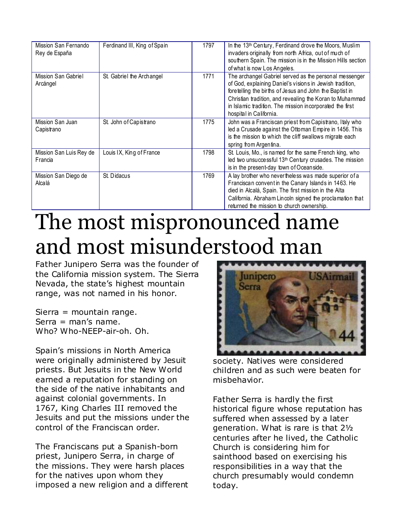| Mission San Fernando<br>Rey de España | Ferdinand III, King of Spain | 1797 | In the 13th Century, Ferdinand drove the Moors, Muslim<br>invaders originally from north Africa, out of much of<br>southern Spain. The mission is in the Mission Hills section<br>of what is now Los Angeles.                                                                                                                    |
|---------------------------------------|------------------------------|------|----------------------------------------------------------------------------------------------------------------------------------------------------------------------------------------------------------------------------------------------------------------------------------------------------------------------------------|
| Mission San Gabriel<br>Arcángel       | St. Gabriel the Archangel    | 1771 | The archangel Gabriel served as the personal messenger<br>of God, explaining Daniel's visions in Jewish tradition,<br>foretelling the births of Jesus and John the Baptist in<br>Christian tradition, and revealing the Koran to Muhammad<br>in Islamic tradition. The mission incorporated the first<br>hospital in California. |
| Mission San Juan<br>Capistrano        | St. John of Capistrano       | 1775 | John was a Franciscan priest from Capistrano, Italy who<br>led a Crusade against the Ottoman Empire in 1456. This<br>is the mission to which the cliff swallows migrate each<br>spring from Argentina.                                                                                                                           |
| Mission San Luis Rey de<br>Francia    | Louis IX, King of France     | 1798 | St. Louis, Mo., is named for the same French king, who<br>led two unsuccessful 13 <sup>th</sup> Century crusades. The mission<br>is in the present-day town of Oceanside.                                                                                                                                                        |
| Mission San Diego de<br>Alcalá        | St. Didacus                  | 1769 | A lay brother who nevertheless was made superior of a<br>Franciscan convent in the Canary Islands in 1463. He<br>died in Alcalá, Spain. The first mission in the Alta<br>California. Abraham Lincoln signed the proclamation that<br>returned the mission to church ownership.                                                   |

#### The most mispronounced name and most misunderstood man

Father Junipero Serra was the founder of the California mission system. The Sierra Nevada, the state's highest mountain range, was not named in his honor.

Sierra = mountain range.  $Serra = man's name.$ Who? Who-NEEP-air-oh. Oh.

Spain's missions in North America were originally administered by Jesuit priests. But Jesuits in the New World earned a reputation for standing on the side of the native inhabitants and against colonial governments. In 1767, King Charles III removed the Jesuits and put the missions under the control of the Franciscan order.

The Franciscans put a Spanish-born priest, Junipero Serra, in charge of the missions. They were harsh places for the natives upon whom they imposed a new religion and a different



society. Natives were considered children and as such were beaten for misbehavior.

Father Serra is hardly the first historical figure whose reputation has suffered when assessed by a later generation. What is rare is that 2½ centuries after he lived, the Catholic Church is considering him for sainthood based on exercising his responsibilities in a way that the church presumably would condemn today.